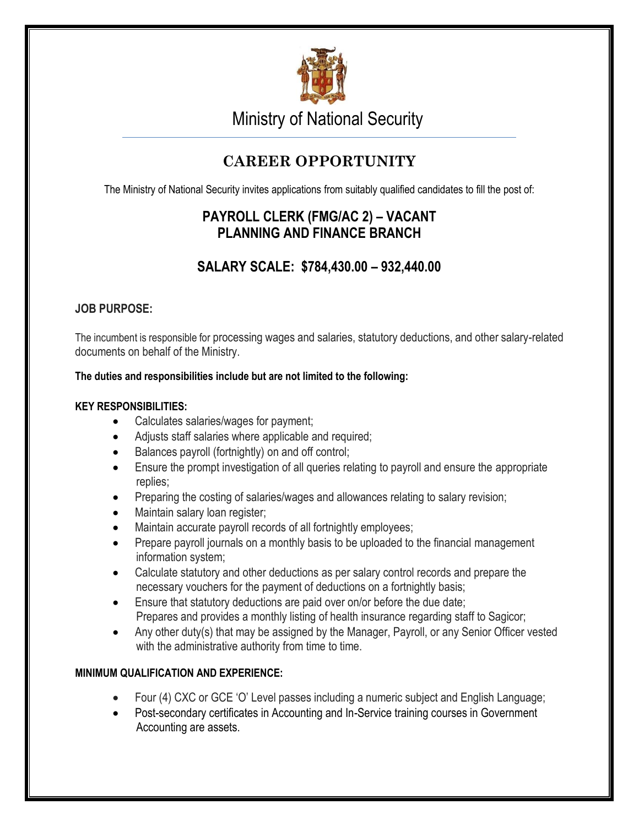

Ministry of National Security

# **CAREER OPPORTUNITY**

The Ministry of National Security invites applications from suitably qualified candidates to fill the post of:

## **PAYROLL CLERK (FMG/AC 2) – VACANT PLANNING AND FINANCE BRANCH**

## **SALARY SCALE: \$784,430.00 – 932,440.00**

### **JOB PURPOSE:**

The incumbent is responsible for processing wages and salaries, statutory deductions, and other salary-related documents on behalf of the Ministry.

#### **The duties and responsibilities include but are not limited to the following:**

#### **KEY RESPONSIBILITIES:**

- Calculates salaries/wages for payment;
- Adjusts staff salaries where applicable and required;
- Balances payroll (fortnightly) on and off control;
- Ensure the prompt investigation of all queries relating to payroll and ensure the appropriate replies;
- Preparing the costing of salaries/wages and allowances relating to salary revision;
- Maintain salary loan register;
- Maintain accurate payroll records of all fortnightly employees;
- Prepare payroll journals on a monthly basis to be uploaded to the financial management information system;
- Calculate statutory and other deductions as per salary control records and prepare the necessary vouchers for the payment of deductions on a fortnightly basis;
- Ensure that statutory deductions are paid over on/or before the due date; Prepares and provides a monthly listing of health insurance regarding staff to Sagicor;
- Any other duty(s) that may be assigned by the Manager, Payroll, or any Senior Officer vested with the administrative authority from time to time.

### **MINIMUM QUALIFICATION AND EXPERIENCE:**

- Four (4) CXC or GCE 'O' Level passes including a numeric subject and English Language;
- Post-secondary certificates in Accounting and In-Service training courses in Government Accounting are assets.